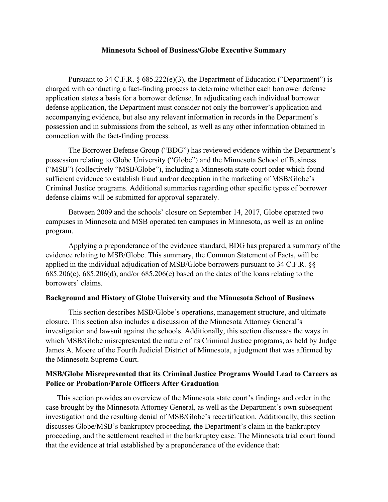## **Minnesota School of Business/Globe Executive Summary**

Pursuant to 34 C.F.R.  $\S$  685.222(e)(3), the Department of Education ("Department") is charged with conducting a fact-finding process to determine whether each borrower defense application states a basis for a borrower defense. In adjudicating each individual borrower defense application, the Department must consider not only the borrower's application and accompanying evidence, but also any relevant information in records in the Department's possession and in submissions from the school, as well as any other information obtained in connection with the fact-finding process.

The Borrower Defense Group ("BDG") has reviewed evidence within the Department's possession relating to Globe University ("Globe") and the Minnesota School of Business ("MSB") (collectively "MSB/Globe"), including a Minnesota state court order which found sufficient evidence to establish fraud and/or deception in the marketing of MSB/Globe's Criminal Justice programs. Additional summaries regarding other specific types of borrower defense claims will be submitted for approval separately.

Between 2009 and the schools' closure on September 14, 2017, Globe operated two campuses in Minnesota and MSB operated ten campuses in Minnesota, as well as an online program.

Applying a preponderance of the evidence standard, BDG has prepared a summary of the evidence relating to MSB/Globe. This summary, the Common Statement of Facts, will be applied in the individual adjudication of MSB/Globe borrowers pursuant to 34 C.F.R. §§ 685.206(c), 685.206(d), and/or 685.206(e) based on the dates of the loans relating to the borrowers' claims.

## **Background and History of Globe University and the Minnesota School of Business**

This section describes MSB/Globe's operations, management structure, and ultimate closure. This section also includes a discussion of the Minnesota Attorney General's investigation and lawsuit against the schools. Additionally, this section discusses the ways in which MSB/Globe misrepresented the nature of its Criminal Justice programs, as held by Judge James A. Moore of the Fourth Judicial District of Minnesota, a judgment that was affirmed by the Minnesota Supreme Court.

## **MSB/Globe Misrepresented that its Criminal Justice Programs Would Lead to Careers as Police or Probation/Parole Officers After Graduation**

This section provides an overview of the Minnesota state court's findings and order in the case brought by the Minnesota Attorney General, as well as the Department's own subsequent investigation and the resulting denial of MSB/Globe's recertification. Additionally, this section discusses Globe/MSB's bankruptcy proceeding, the Department's claim in the bankruptcy proceeding, and the settlement reached in the bankruptcy case. The Minnesota trial court found that the evidence at trial established by a preponderance of the evidence that: